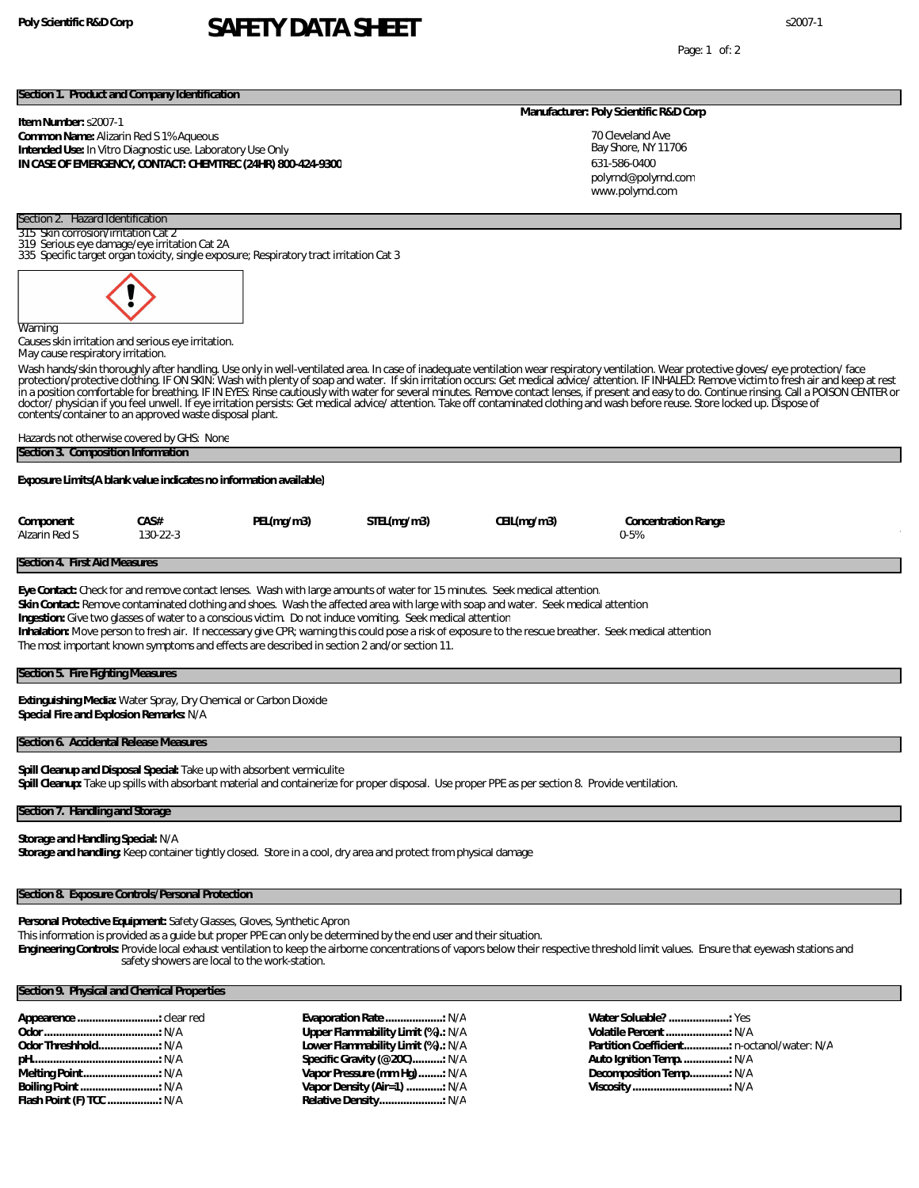**Poly Scientific R&D Corp** s2007-1 **SAFETY DATA SHEET**

Page: 1 of: 2

#### **Section 1. Product and Company Identification**

#### **Item Number:** s2007-1

#### **Common Name:** Alizarin Red S 1% Aqueous **Intended Use:** In Vitro Diagnostic use. Laboratory Use Only **IN CASE OF EMERGENCY, CONTACT: CHEMTREC (24HR) 800-424-9300**

#### **Manufacturer: Poly Scientific R&D Corp**

70 Cleveland Ave Bay Shore, NY 11706 631-586-0400 www.polyrnd.com polyrnd@polyrnd.com

319 Serious eye damage/eye irritation Cat 2A 335 Specific target organ toxicity, single exposure; Respiratory tract irritation Cat 3

Section 2. Hazard Identification 315 Skin corrosion/irritation Cat 2



Causes skin irritation and serious eye irritation. May cause respiratory irritation.

Wash hands/skin thoroughly after handling. Use only in well-ventilated area. In case of inadequate ventilation wear respiratory ventilation. Wear protective gloves/ eye protection/ face<br>protection/protective dothing. IF ON doctor/physician if you feel unwell. If eye irritation persists: Get medical advice/attention. Take off contaminated clothing and wash before reuse. Store locked up. Dispose of contents/container to an approved waste disposal plant.

# Hazards not otherwise covered by GHS: None

| Section 3. Composition Information |  |
|------------------------------------|--|
|                                    |  |

**Exposure Limits(A blank value indicates no information available)**

| Component     | CA S#          | PEL(mg/m3) | STEL(mg/m3) | CEIL(mg/m3) | Concentration Range |
|---------------|----------------|------------|-------------|-------------|---------------------|
| Alzarin Red S | $130 - 22 - 3$ |            |             |             | U-5%                |

#### **Section 4. First Aid Measures**

**Eye Contact:** Check for and remove contact lenses. Wash with large amounts of water for 15 minutes. Seek medical attention. **Skin Contact:** Remove contaminated clothing and shoes. Wash the affected area with large with soap and water. Seek medical attention **Ingestion:** Give two glasses of water to a conscious victim. Do not induce vomiting. Seek medical attention **Inhalation:** Move person to fresh air. If neccessary give CPR; warning this could pose a risk of exposure to the rescue breather. Seek medical attention The most important known symptoms and effects are described in section 2 and/or section 11.

| Section 5. Fire Fighting Measures |  |
|-----------------------------------|--|
|-----------------------------------|--|

**Extinguishing Media:** Water Spray, Dry Chemical or Carbon Dioxide **Special Fire and Explosion Remarks:** N/A

#### **Section 6. Accidental Release Measures**

**Spill Cleanup and Disposal Special:** Take up with absorbent vermiculite **Spill Cleanup:** Take up spills with absorbant material and containerize for proper disposal. Use proper PPE as per section 8. Provide ventilation.

#### **Section 7. Handling and Storage**

**Storage and Handling Special:** N/A

**Storage and handling:** Keep container tightly closed. Store in a cool, dry area and protect from physical damage

#### **Section 8. Exposure Controls/Personal Protection**

**Personal Protective Equipment:** Safety Glasses, Gloves, Synthetic Apron

This information is provided as a guide but proper PPE can only be determined by the end user and their situation.

**Engineering Controls:** Provide local exhaust ventilation to keep the airborne concentrations of vapors below their respective threshold limit values. Ensure that eyewash stations and safety showers are local to the work-station.

### **Section 9. Physical and Chemical Properties**

**Evaporation Rate ...................:** N/A **Upper Flammability Limit (%).:** N/A **Lower Flammability Limit (%).:** N/A **Specific Gravity (@20C)..........:** N/A **Vapor Pressure (mm Hg)........:** N/A **Vapor Density (Air=1) ............:** N/A **Relative Density.....................:** N/A

**Water Soluable? ....................:** Yes **Volatile Percent.....................:** N/A **Partition Coefficient...............:** n-octanol/water: N/A **Auto Ignition Temp................:** N/A **Decomposition Temp.............:** N/A **Viscosity ................................:** N/A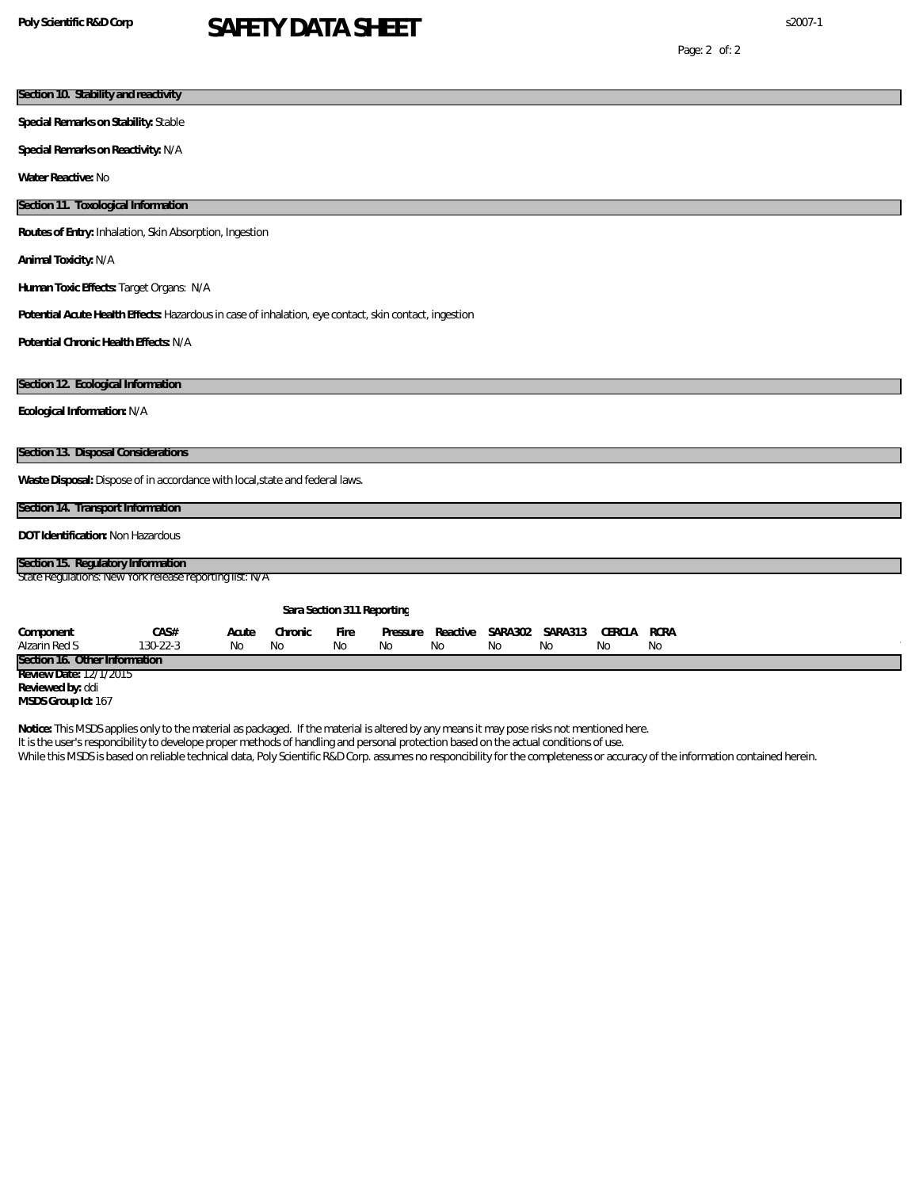# **Poly Scientific R&D Corp** s2007-1 **SAFETY DATA SHEET**

# **Section 10. Stability and reactivity**

**Special Remarks on Stability:** Stable

**Special Remarks on Reactivity:** N/A

**Water Reactive:** No

#### **Section 11. Toxological Information**

**Routes of Entry:** Inhalation, Skin Absorption, Ingestion

**Animal Toxicity:** N/A

**Human Toxic Effects:** Target Organs: N/A

**Potential Acute Health Effects:** Hazardous in case of inhalation, eye contact, skin contact, ingestion

**Potential Chronic Health Effects:** N/A

#### **Section 12. Ecological Information**

**Ecological Information:** N/A

**Section 13. Disposal Considerations**

Waste Disposal: Dispose of in accordance with local, state and federal laws.

#### **Section 14. Transport Information**

**DOT Identification:** Non Hazardous

### **Section 15. Regulatory Information**

State Regulations: New York release reporting list: N/A

| Sara Section 311 Reporting    |          |       |         |      |     |     |     |                                               |     |     |
|-------------------------------|----------|-------|---------|------|-----|-----|-----|-----------------------------------------------|-----|-----|
| Component                     | CAS#     | Acute | Chronic | Fire |     |     |     | Pressure Reactive SARA302 SARA313 CERCLA RCRA |     |     |
| Alzarin Red S                 | 130-22-3 | No.   | - No    | No.  | No. | -No | No. | No.                                           | No. | No. |
| Section 16. Other Information |          |       |         |      |     |     |     |                                               |     |     |
| Review Date: 12/1/2015        |          |       |         |      |     |     |     |                                               |     |     |
| Reviewed by: ddi              |          |       |         |      |     |     |     |                                               |     |     |
| MSDS Group Id: 167            |          |       |         |      |     |     |     |                                               |     |     |

**Notice:** This MSDS applies only to the material as packaged. If the material is altered by any means it may pose risks not mentioned here.

It is the user's responcibility to develope proper methods of handling and personal protection based on the actual conditions of use.

While this MSDS is based on reliable technical data, Poly Scientific R&D Corp. assumes no responcibility for the completeness or accuracy of the information contained herein.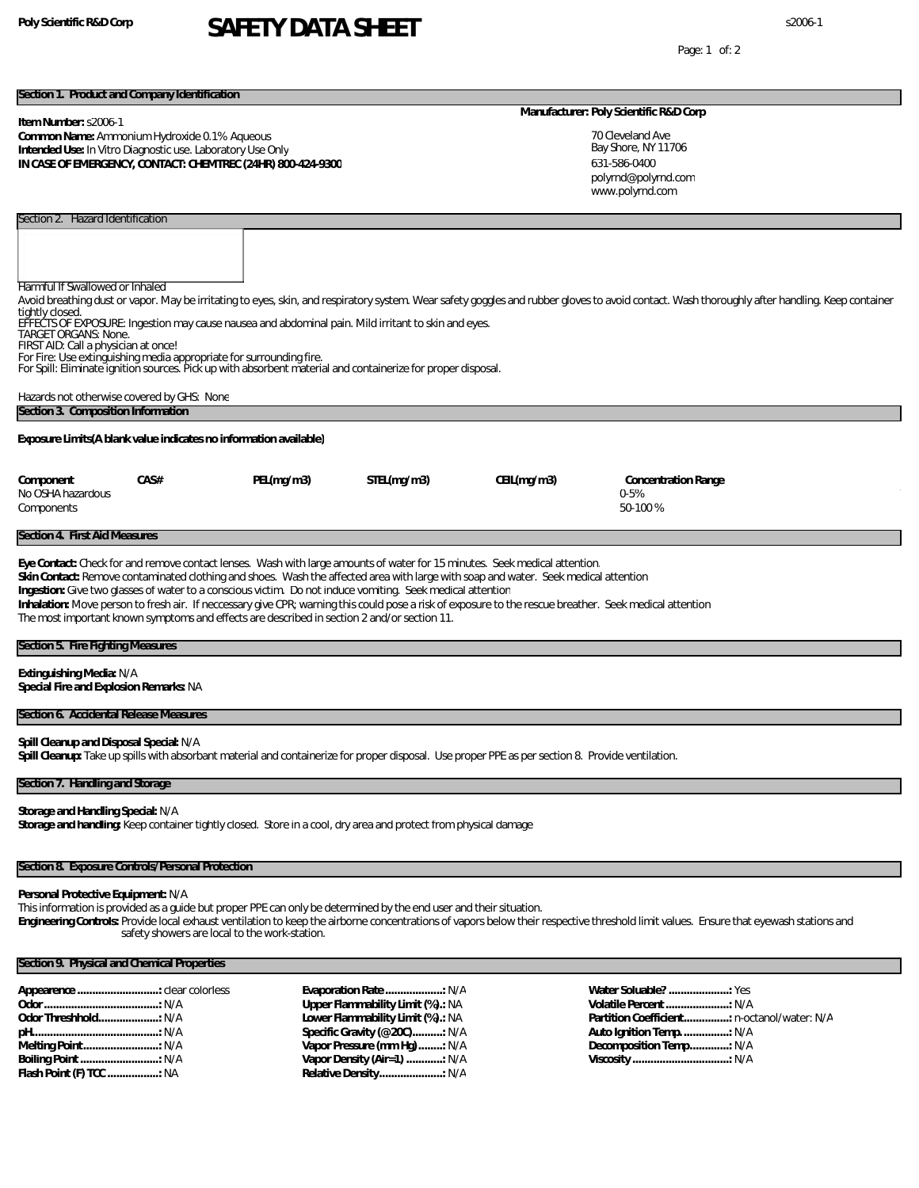# **Poly Scientific R&D Corp** s2006-1 **SAFETY DATA SHEET**

Page: 1 of: 2

#### **Section 1. Product and Company Identification**

**Item Number:** s2006-1

#### **Common Name:** Ammonium Hydroxide 0.1% Aqueous **Intended Use:** In Vitro Diagnostic use. Laboratory Use Only **IN CASE OF EMERGENCY, CONTACT: CHEMTREC (24HR) 800-424-9300**

#### **Manufacturer: Poly Scientific R&D Corp**

70 Cleveland Ave Bay Shore, NY 11706 631-586-0400 www.polyrnd.com polyrnd@polyrnd.com

Harmful If Swallowed or Inhaled Avoid breathing dust or vapor. May be irritating to eyes, skin, and respiratory system. Wear safety goggles and rubber gloves to avoid contact. Wash thoroughly after handling. Keep container tightly closed.

EFFECTS OF EXPOSURE: Ingestion may cause nausea and abdominal pain. Mild irritant to skin and eyes.

TARGET ORGANS: None. FIRST AID: Call a physician at once!

Section 2. Hazard Identification

For Fire: Use extinguishing media appropriate for surrounding fire. For Spill: Eliminate ignition sources. Pick up with absorbent material and containerize for proper disposal.

| Hazards not otherwise covered by GHS: None                         |  |
|--------------------------------------------------------------------|--|
| Section 3. Composition Information                                 |  |
| Exposure Limits (A blank value indicates no information available) |  |

| Component         | CA S# | PEL(mg/m3) | STEL(mg/m3) | CEIL(mg/m3) | Concentration Range |
|-------------------|-------|------------|-------------|-------------|---------------------|
| No OSHA hazardous |       |            |             |             | 0-5%                |
| Components        |       |            |             |             | 50-100%             |

#### **Section 4. First Aid Measures**

**Eye Contact:** Check for and remove contact lenses. Wash with large amounts of water for 15 minutes. Seek medical attention.

**Skin Contact:** Remove contaminated clothing and shoes. Wash the affected area with large with soap and water. Seek medical attention

**Ingestion:** Give two glasses of water to a conscious victim. Do not induce vomiting. Seek medical attention

**Inhalation:** Move person to fresh air. If neccessary give CPR; warning this could pose a risk of exposure to the rescue breather. Seek medical attention

The most important known symptoms and effects are described in section 2 and/or section 11.

### **Section 5. Fire Fighting Measures**

**Extinguishing Media:** N/A

**Special Fire and Explosion Remarks:** NA

#### **Section 6. Accidental Release Measures**

**Spill Cleanup and Disposal Special:** N/A

**Spill Cleanup:** Take up spills with absorbant material and containerize for proper disposal. Use proper PPE as per section 8. Provide ventilation.

#### **Section 7. Handling and Storage**

**Storage and Handling Special:** N/A **Storage and handling:** Keep container tightly closed. Store in a cool, dry area and protect from physical damage

#### **Section 8. Exposure Controls/Personal Protection**

#### **Personal Protective Equipment:** N/A

This information is provided as a guide but proper PPE can only be determined by the end user and their situation.

**Engineering Controls:** Provide local exhaust ventilation to keep the airborne concentrations of vapors below their respective threshold limit values. Ensure that eyewash stations and safety showers are local to the work-station.

### **Section 9. Physical and Chemical Properties**

**Evaporation Rate ...................:** N/A **Upper Flammability Limit (%).:** NA **Lower Flammability Limit (%).:** NA **Specific Gravity (@20C)..........:** N/A **Vapor Pressure (mm Hg)........:** N/A **Vapor Density (Air=1) ............:** N/A **Relative Density.....................:** N/A

**Water Soluable? ....................:** Yes **Volatile Percent.....................:** N/A **Partition Coefficient...............:** n-octanol/water: N/A **Auto Ignition Temp................:** N/A **Decomposition Temp.............:** N/A **Viscosity ................................:** N/A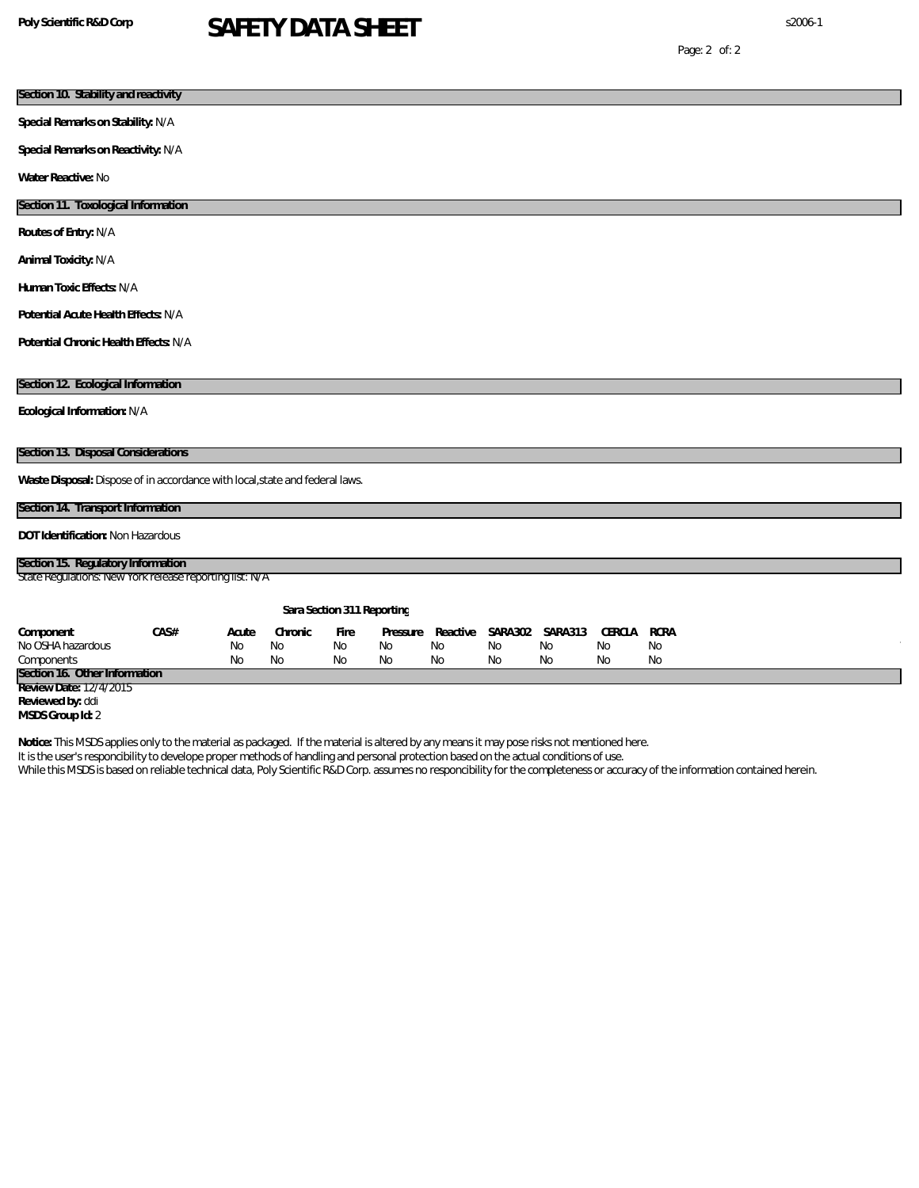# **Poly Scientific R&D Corp** s2006-1 **SAFETY DATA SHEET**

Page: 2 of: 2

| Section 10. Stability and reactivity                                                                                                      |      |           |                            |           |          |          |    |                   |        |             |  |  |
|-------------------------------------------------------------------------------------------------------------------------------------------|------|-----------|----------------------------|-----------|----------|----------|----|-------------------|--------|-------------|--|--|
| Special Remarks on Stability: N/A                                                                                                         |      |           |                            |           |          |          |    |                   |        |             |  |  |
| Special Remarks on Reactivity: N/A                                                                                                        |      |           |                            |           |          |          |    |                   |        |             |  |  |
| Water Reactive: No                                                                                                                        |      |           |                            |           |          |          |    |                   |        |             |  |  |
| Section 11. Toxological Information                                                                                                       |      |           |                            |           |          |          |    |                   |        |             |  |  |
| Routes of Entry: N/A                                                                                                                      |      |           |                            |           |          |          |    |                   |        |             |  |  |
| Animal Toxicity: N/A                                                                                                                      |      |           |                            |           |          |          |    |                   |        |             |  |  |
| Human Toxic Effects: N/A                                                                                                                  |      |           |                            |           |          |          |    |                   |        |             |  |  |
| Potential Acute Health Effects: N/A                                                                                                       |      |           |                            |           |          |          |    |                   |        |             |  |  |
| Potential Chronic Health Effects: N/A                                                                                                     |      |           |                            |           |          |          |    |                   |        |             |  |  |
|                                                                                                                                           |      |           |                            |           |          |          |    |                   |        |             |  |  |
| Section 12. Ecological Information                                                                                                        |      |           |                            |           |          |          |    |                   |        |             |  |  |
| Ecological Information: N/A                                                                                                               |      |           |                            |           |          |          |    |                   |        |             |  |  |
| Section 13. Disposal Considerations                                                                                                       |      |           |                            |           |          |          |    |                   |        |             |  |  |
| Waste Disposal: Dispose of in accordance with local, state and federal laws.                                                              |      |           |                            |           |          |          |    |                   |        |             |  |  |
| Section 14. Transport Information                                                                                                         |      |           |                            |           |          |          |    |                   |        |             |  |  |
| DOT Identification: Non Hazardous                                                                                                         |      |           |                            |           |          |          |    |                   |        |             |  |  |
|                                                                                                                                           |      |           |                            |           |          |          |    |                   |        |             |  |  |
| Section 15. Regulatory Information<br>State Regulations New York release reporting list: N/A                                              |      |           |                            |           |          |          |    |                   |        |             |  |  |
|                                                                                                                                           |      |           |                            |           |          |          |    |                   |        |             |  |  |
|                                                                                                                                           |      |           | Sara Section 311 Reporting |           |          |          |    |                   |        |             |  |  |
| Component                                                                                                                                 | CAS# | Acute     | Chronic                    | Fire      | Pressure | Reactive |    | SARA 302 SARA 313 | CERCLA | <b>RCRA</b> |  |  |
| No OSHA hazardous                                                                                                                         |      | No        | <b>No</b>                  | <b>No</b> | No       | No       | No | No                | No     | No          |  |  |
| Components<br>Section 16. Other Information                                                                                               |      | <b>No</b> | No                         | No        | No       | No       | No | No                | No     | No          |  |  |
| Review Date: 12/4/2015                                                                                                                    |      |           |                            |           |          |          |    |                   |        |             |  |  |
| Reviewed by: ddi                                                                                                                          |      |           |                            |           |          |          |    |                   |        |             |  |  |
| MSDS Group Id: 2                                                                                                                          |      |           |                            |           |          |          |    |                   |        |             |  |  |
| Notice: This MSDS applies only to the material as packaged. If the material is altered by any means it may pose risks not mentioned here. |      |           |                            |           |          |          |    |                   |        |             |  |  |

It is the user's responcibility to develope proper methods of handling and personal protection based on the actual conditions of use. While this MSDS is based on reliable technical data, Poly Scientific R&D Corp. assumes no responcibility for the completeness or accuracy of the information contained herein.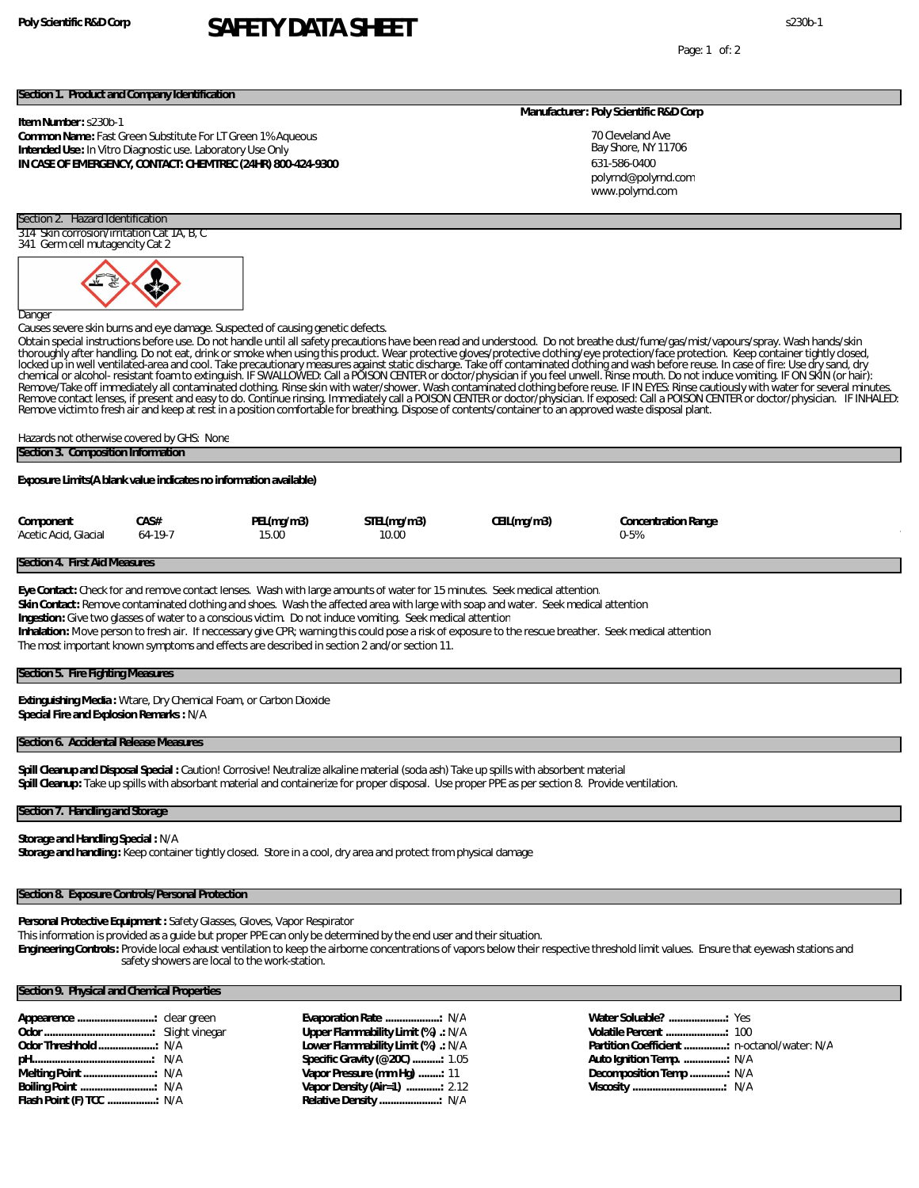# **Poly Scientific R&D Corp** s230b-1 **SAFETY DATA SHEET**

Page: 1 of: 2

#### **Section 1. Product and Company Identification**

#### **Item Number:** s230b-1

#### **Common Name:** Fast Green Substitute For LT Green 1% Aqueous **Intended Use:** In Vitro Diagnostic use. Laboratory Use Only **IN CASE OF EMERGENCY, CONTACT: CHEMTREC (24HR) 800-424-9300**

#### **Manufacturer: Poly Scientific R&D Corp**

70 Cleveland Ave Bay Shore, NY 11706 631-586-0400 www.polyrnd.com polyrnd@polyrnd.com

## Section 2. Hazard Identification

314 Skin corrosion/irritation Cat 1A, B, C 341 Germ cell mutagencity Cat 2



Danger

Causes severe skin burns and eye damage. Suspected of causing genetic defects.

Obtain special instructions before use. Do not handle until all safety precautions have been read and understood. Do not breathe dust/fume/gas/mist/vapours/spray. Wash hands/skin<br>thoroughly after handling. Do not eat, drin Remove/Take off immediately all contaminated clothing. Rinse skin with water/shower. Wash contaminated clothing before reuse. IF IN EYES: Rinse cautiously with water for several minutes.<br>Remove contact lenses, if present a Remove victim to fresh air and keep at rest in a position comfortable for breathing. Dispose of contents/container to an approved waste disposal plant.

#### Hazards not otherwise covered by GHS: None **Section 3. Composition Information**

**Exposure Limits(A blank value indicates no information available)**

| Component            | CAS#      | PEL(mq/m3) | STEL(mg/m3) | CEIL(mg/m3) | <b>Concentration Range</b> |  |
|----------------------|-----------|------------|-------------|-------------|----------------------------|--|
| Acetic Acid, Glacial | $64-19-7$ | 15.00      | 10.00       |             | 0-5%                       |  |

#### **Section 4. First Aid Measures**

**Eye Contact:** Check for and remove contact lenses. Wash with large amounts of water for 15 minutes. Seek medical attention. **Skin Contact:** Remove contaminated clothing and shoes. Wash the affected area with large with soap and water. Seek medical attention **Ingestion:** Give two glasses of water to a conscious victim. Do not induce vomiting. Seek medical attention **Inhalation:** Move person to fresh air. If neccessary give CPR; warning this could pose a risk of exposure to the rescue breather. Seek medical attention The most important known symptoms and effects are described in section 2 and/or section 11.

#### **Section 5. Fire Fighting Measures**

**Extinguishing Media :** Wtare, Dry Chemical Foam, or Carbon Dioxide **Special Fire and Explosion Remarks :** N/A

#### **Section 6. Accidental Release Measures**

**Spill Cleanup and Disposal Special :** Caution! Corrosive! Neutralize alkaline material (soda ash) Take up spills with absorbent material **Spill Cleanup:** Take up spills with absorbant material and containerize for proper disposal. Use proper PPE as per section 8. Provide ventilation.

#### **Section 7. Handling and Storage**

**Storage and Handling Special :** N/A

**Storage and handling :** Keep container tightly closed. Store in a cool, dry area and protect from physical damage

#### **Section 8. Exposure Controls/Personal Protection**

**Personal Protective Equipment :** Safety Glasses, Gloves, Vapor Respirator

This information is provided as a guide but proper PPE can only be determined by the end user and their situation.

**Engineering Controls:** Provide local exhaust ventilation to keep the airborne concentrations of vapors below their respective threshold limit values. Ensure that eyewash stations and safety showers are local to the work-station.

### **Section 9. Physical and Chemical Properties**

| Flash Point (F) TCC  N/A |  |
|--------------------------|--|

**Evaporation Rate ...................:** N/A **Upper Flammability Limit (%) .:** N/A **Lower Flammability Limit (%) .:** N/A **Specific Gravity (@20C) ..........:** 1.05 **Vapor Pressure (mm Hg) ........:** 11 **Vapor Density (Air=1) ............:** 2.12 **Relative Density .....................:** N/A

| Auto Ignition Temp.  N/A |  |
|--------------------------|--|
|                          |  |
|                          |  |